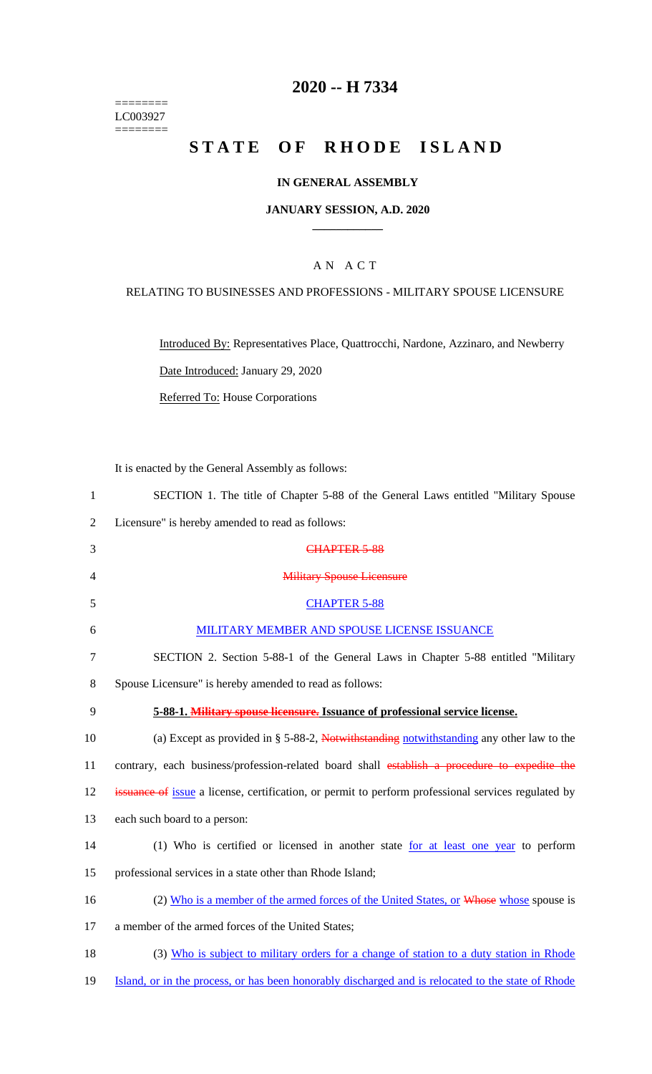======== LC003927  $=$ 

# **2020 -- H 7334**

# STATE OF RHODE ISLAND

## **IN GENERAL ASSEMBLY**

#### **JANUARY SESSION, A.D. 2020 \_\_\_\_\_\_\_\_\_\_\_\_**

## A N A C T

## RELATING TO BUSINESSES AND PROFESSIONS - MILITARY SPOUSE LICENSURE

Introduced By: Representatives Place, Quattrocchi, Nardone, Azzinaro, and Newberry Date Introduced: January 29, 2020

Referred To: House Corporations

It is enacted by the General Assembly as follows:

| $\mathbf{1}$ | SECTION 1. The title of Chapter 5-88 of the General Laws entitled "Military Spouse                         |
|--------------|------------------------------------------------------------------------------------------------------------|
| 2            | Licensure" is hereby amended to read as follows:                                                           |
| 3            | CHAPTER 5-88                                                                                               |
| 4            | <b>Military Spouse Licensure</b>                                                                           |
| 5            | <b>CHAPTER 5-88</b>                                                                                        |
| 6            | MILITARY MEMBER AND SPOUSE LICENSE ISSUANCE                                                                |
| 7            | SECTION 2. Section 5-88-1 of the General Laws in Chapter 5-88 entitled "Military"                          |
| 8            | Spouse Licensure" is hereby amended to read as follows:                                                    |
| 9            | 5-88-1. Military spouse licensure. Issuance of professional service license.                               |
| 10           | (a) Except as provided in $\S$ 5-88-2, Notwithstanding notwithstanding any other law to the                |
| 11           | contrary, each business/profession-related board shall establish a procedure to expedite the               |
| 12           | <b>issuance of</b> issue a license, certification, or permit to perform professional services regulated by |
| 13           | each such board to a person:                                                                               |
| 14           | (1) Who is certified or licensed in another state for at least one year to perform                         |
| 15           | professional services in a state other than Rhode Island;                                                  |
| 16           | (2) Who is a member of the armed forces of the United States, or Whose whose spouse is                     |
| 17           | a member of the armed forces of the United States;                                                         |
| 18           | (3) Who is subject to military orders for a change of station to a duty station in Rhode                   |
| 19           | Island, or in the process, or has been honorably discharged and is relocated to the state of Rhode         |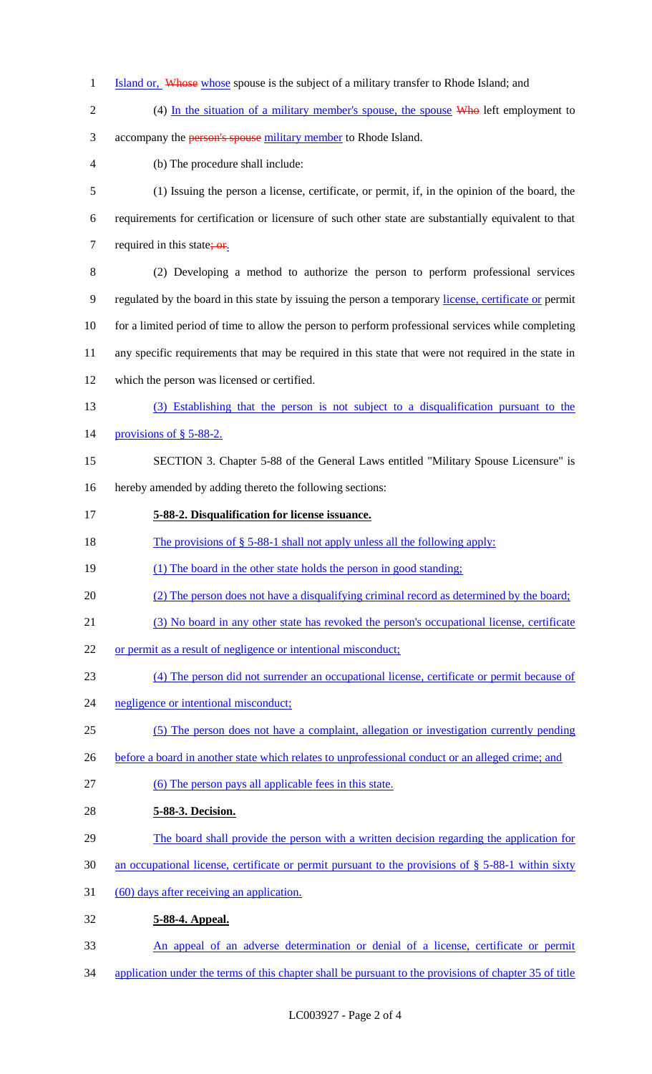- 1 Island or, Whose whose spouse is the subject of a military transfer to Rhode Island; and
- 
- 2 (4) In the situation of a military member's spouse, the spouse Who left employment to
- 3 accompany the **person's spouse** military member to Rhode Island.
- (b) The procedure shall include:
- (1) Issuing the person a license, certificate, or permit, if, in the opinion of the board, the requirements for certification or licensure of such other state are substantially equivalent to that 7 required in this state;  $or$ .
- (2) Developing a method to authorize the person to perform professional services regulated by the board in this state by issuing the person a temporary license, certificate or permit for a limited period of time to allow the person to perform professional services while completing any specific requirements that may be required in this state that were not required in the state in which the person was licensed or certified.
- (3) Establishing that the person is not subject to a disqualification pursuant to the
- 14 provisions of § 5-88-2.
- SECTION 3. Chapter 5-88 of the General Laws entitled "Military Spouse Licensure" is hereby amended by adding thereto the following sections:
- **5-88-2. Disqualification for license issuance.**
- 18 The provisions of  $\S$  5-88-1 shall not apply unless all the following apply:
- 19 (1) The board in the other state holds the person in good standing;
- (2) The person does not have a disqualifying criminal record as determined by the board;
- (3) No board in any other state has revoked the person's occupational license, certificate
- or permit as a result of negligence or intentional misconduct;
- (4) The person did not surrender an occupational license, certificate or permit because of
- negligence or intentional misconduct;
- (5) The person does not have a complaint, allegation or investigation currently pending
- 26 before a board in another state which relates to unprofessional conduct or an alleged crime; and
- (6) The person pays all applicable fees in this state.
- **5-88-3. Decision.**
- 29 The board shall provide the person with a written decision regarding the application for
- an occupational license, certificate or permit pursuant to the provisions of § 5-88-1 within sixty
- 31 (60) days after receiving an application.
- **5-88-4. Appeal.**
- An appeal of an adverse determination or denial of a license, certificate or permit
- application under the terms of this chapter shall be pursuant to the provisions of chapter 35 of title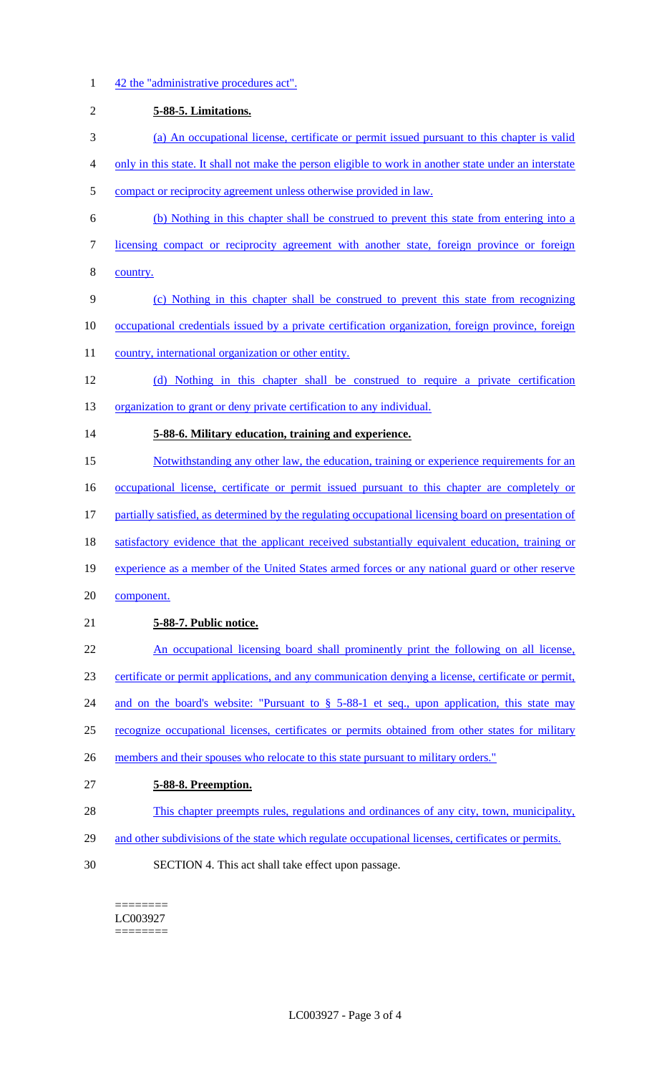1 42 the "administrative procedures act".

| $\overline{2}$ | 5-88-5. Limitations.                                                                                   |
|----------------|--------------------------------------------------------------------------------------------------------|
| 3              | (a) An occupational license, certificate or permit issued pursuant to this chapter is valid            |
| 4              | only in this state. It shall not make the person eligible to work in another state under an interstate |
| 5              | compact or reciprocity agreement unless otherwise provided in law.                                     |
| 6              | (b) Nothing in this chapter shall be construed to prevent this state from entering into a              |
| 7              | licensing compact or reciprocity agreement with another state, foreign province or foreign             |
| 8              | country.                                                                                               |
| 9              | (c) Nothing in this chapter shall be construed to prevent this state from recognizing                  |
| 10             | occupational credentials issued by a private certification organization, foreign province, foreign     |
| 11             | country, international organization or other entity.                                                   |
| 12             | (d) Nothing in this chapter shall be construed to require a private certification                      |
| 13             | organization to grant or deny private certification to any individual.                                 |
| 14             | 5-88-6. Military education, training and experience.                                                   |
| 15             | Notwithstanding any other law, the education, training or experience requirements for an               |
| 16             | occupational license, certificate or permit issued pursuant to this chapter are completely or          |
| 17             | partially satisfied, as determined by the regulating occupational licensing board on presentation of   |
| 18             | satisfactory evidence that the applicant received substantially equivalent education, training or      |
| 19             | experience as a member of the United States armed forces or any national guard or other reserve        |
| 20             | component.                                                                                             |
| 21             | 5-88-7. Public notice.                                                                                 |
| 22             | An occupational licensing board shall prominently print the following on all license,                  |
| 23             | certificate or permit applications, and any communication denying a license, certificate or permit,    |
| 24             | and on the board's website: "Pursuant to $\S$ 5-88-1 et seq., upon application, this state may         |
| 25             | recognize occupational licenses, certificates or permits obtained from other states for military       |
| 26             | members and their spouses who relocate to this state pursuant to military orders."                     |
| 27             | 5-88-8. Preemption.                                                                                    |
| 28             | This chapter preempts rules, regulations and ordinances of any city, town, municipality,               |
| 29             | and other subdivisions of the state which regulate occupational licenses, certificates or permits.     |
| 30             | SECTION 4. This act shall take effect upon passage.                                                    |

======== LC003927  $\begin{minipage}{0.9\linewidth} \begin{tabular}{l} \hline \textbf{r} & \textbf{r} \\ \hline \textbf{r} & \textbf{r} \\ \hline \textbf{r} & \textbf{r} \\ \hline \textbf{r} & \textbf{r} \\ \hline \textbf{r} & \textbf{r} \\ \hline \textbf{r} & \textbf{r} \\ \hline \textbf{r} & \textbf{r} \\ \hline \textbf{r} & \textbf{r} \\ \hline \textbf{r} & \textbf{r} \\ \hline \textbf{r} & \textbf{r} \\ \hline \textbf{r} & \textbf{r} \\ \hline \textbf{r} & \text$